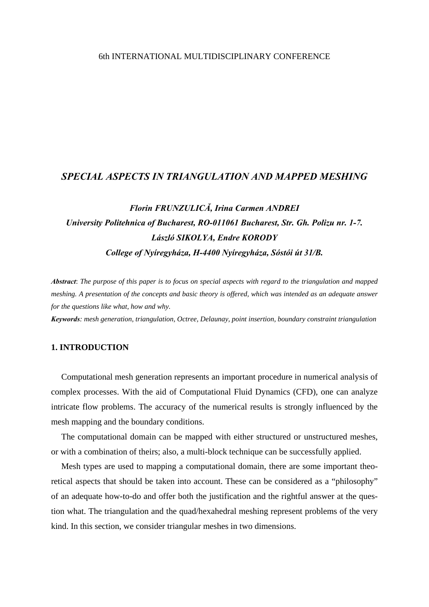# 6th INTERNATIONAL MULTIDISCIPLINARY CONFERENCE

# *SPECIAL ASPECTS IN TRIANGULATION AND MAPPED MESHING*

# *Florin FRUNZULICĂ, Irina Carmen ANDREI University Politehnica of Bucharest, RO-011061 Bucharest, Str. Gh. Polizu nr. 1-7. László SIKOLYA, Endre KORODY College of Nyíregyháza, H-4400 Nyíregyháza, Sóstói út 31/B.*

*Abstract*: *The purpose of this paper is to focus on special aspects with regard to the triangulation and mapped meshing. A presentation of the concepts and basic theory is offered, which was intended as an adequate answer for the questions like what, how and why.* 

*Keywords: mesh generation, triangulation, Octree, Delaunay, point insertion, boundary constraint triangulation* 

# **1. INTRODUCTION**

Computational mesh generation represents an important procedure in numerical analysis of complex processes. With the aid of Computational Fluid Dynamics (CFD), one can analyze intricate flow problems. The accuracy of the numerical results is strongly influenced by the mesh mapping and the boundary conditions.

The computational domain can be mapped with either structured or unstructured meshes, or with a combination of theirs; also, a multi-block technique can be successfully applied.

Mesh types are used to mapping a computational domain, there are some important theoretical aspects that should be taken into account. These can be considered as a "philosophy" of an adequate how-to-do and offer both the justification and the rightful answer at the question what. The triangulation and the quad/hexahedral meshing represent problems of the very kind. In this section, we consider triangular meshes in two dimensions.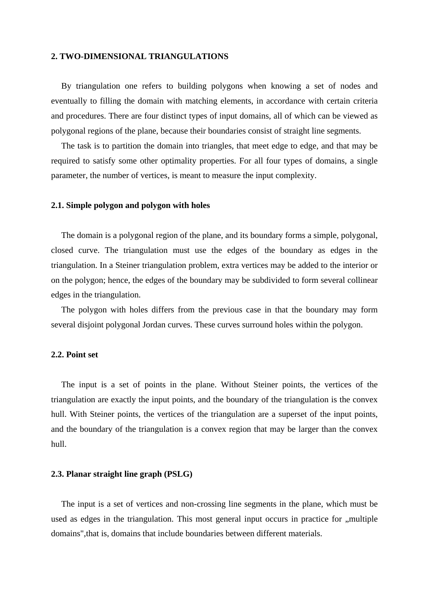## **2. TWO-DIMENSIONAL TRIANGULATIONS**

By triangulation one refers to building polygons when knowing a set of nodes and eventually to filling the domain with matching elements, in accordance with certain criteria and procedures. There are four distinct types of input domains, all of which can be viewed as polygonal regions of the plane, because their boundaries consist of straight line segments.

The task is to partition the domain into triangles, that meet edge to edge, and that may be required to satisfy some other optimality properties. For all four types of domains, a single parameter, the number of vertices, is meant to measure the input complexity.

## **2.1. Simple polygon and polygon with holes**

The domain is a polygonal region of the plane, and its boundary forms a simple, polygonal, closed curve. The triangulation must use the edges of the boundary as edges in the triangulation. In a Steiner triangulation problem, extra vertices may be added to the interior or on the polygon; hence, the edges of the boundary may be subdivided to form several collinear edges in the triangulation.

The polygon with holes differs from the previous case in that the boundary may form several disjoint polygonal Jordan curves. These curves surround holes within the polygon.

## **2.2. Point set**

The input is a set of points in the plane. Without Steiner points, the vertices of the triangulation are exactly the input points, and the boundary of the triangulation is the convex hull. With Steiner points, the vertices of the triangulation are a superset of the input points, and the boundary of the triangulation is a convex region that may be larger than the convex hull.

#### **2.3. Planar straight line graph (PSLG)**

The input is a set of vertices and non-crossing line segments in the plane, which must be used as edges in the triangulation. This most general input occurs in practice for ,, multiple domains",that is, domains that include boundaries between different materials.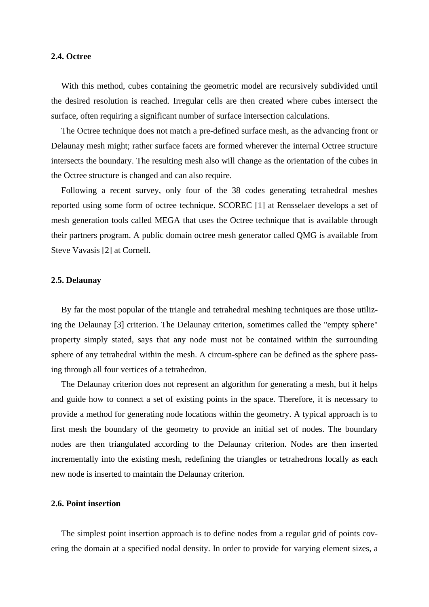## **2.4. Octree**

With this method, cubes containing the geometric model are recursively subdivided until the desired resolution is reached. Irregular cells are then created where cubes intersect the surface, often requiring a significant number of surface intersection calculations.

The Octree technique does not match a pre-defined surface mesh, as the advancing front or Delaunay mesh might; rather surface facets are formed wherever the internal Octree structure intersects the boundary. The resulting mesh also will change as the orientation of the cubes in the Octree structure is changed and can also require.

Following a recent survey, only four of the 38 codes generating tetrahedral meshes reported using some form of octree technique. SCOREC [1] at Rensselaer develops a set of mesh generation tools called MEGA that uses the Octree technique that is available through their partners program. A public domain octree mesh generator called QMG is available from Steve Vavasis [2] at Cornell.

# **2.5. Delaunay**

By far the most popular of the triangle and tetrahedral meshing techniques are those utilizing the Delaunay [3] criterion. The Delaunay criterion, sometimes called the "empty sphere" property simply stated, says that any node must not be contained within the surrounding sphere of any tetrahedral within the mesh. A circum-sphere can be defined as the sphere passing through all four vertices of a tetrahedron.

The Delaunay criterion does not represent an algorithm for generating a mesh, but it helps and guide how to connect a set of existing points in the space. Therefore, it is necessary to provide a method for generating node locations within the geometry. A typical approach is to first mesh the boundary of the geometry to provide an initial set of nodes. The boundary nodes are then triangulated according to the Delaunay criterion. Nodes are then inserted incrementally into the existing mesh, redefining the triangles or tetrahedrons locally as each new node is inserted to maintain the Delaunay criterion.

## **2.6. Point insertion**

The simplest point insertion approach is to define nodes from a regular grid of points covering the domain at a specified nodal density. In order to provide for varying element sizes, a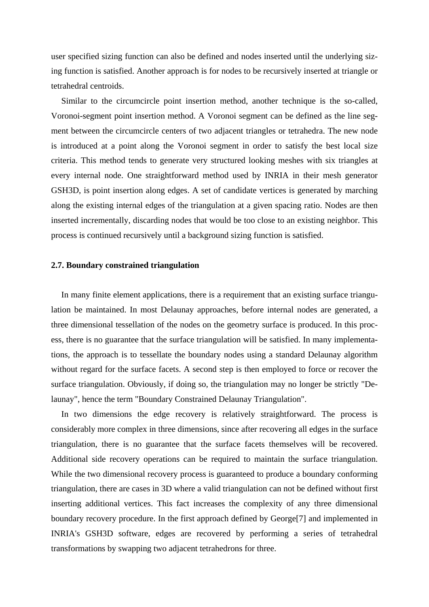user specified sizing function can also be defined and nodes inserted until the underlying sizing function is satisfied. Another approach is for nodes to be recursively inserted at triangle or tetrahedral centroids.

Similar to the circumcircle point insertion method, another technique is the so-called, Voronoi-segment point insertion method. A Voronoi segment can be defined as the line segment between the circumcircle centers of two adjacent triangles or tetrahedra. The new node is introduced at a point along the Voronoi segment in order to satisfy the best local size criteria. This method tends to generate very structured looking meshes with six triangles at every internal node. One straightforward method used by INRIA in their mesh generator GSH3D, is point insertion along edges. A set of candidate vertices is generated by marching along the existing internal edges of the triangulation at a given spacing ratio. Nodes are then inserted incrementally, discarding nodes that would be too close to an existing neighbor. This process is continued recursively until a background sizing function is satisfied.

### **2.7. Boundary constrained triangulation**

In many finite element applications, there is a requirement that an existing surface triangulation be maintained. In most Delaunay approaches, before internal nodes are generated, a three dimensional tessellation of the nodes on the geometry surface is produced. In this process, there is no guarantee that the surface triangulation will be satisfied. In many implementations, the approach is to tessellate the boundary nodes using a standard Delaunay algorithm without regard for the surface facets. A second step is then employed to force or recover the surface triangulation. Obviously, if doing so, the triangulation may no longer be strictly "Delaunay", hence the term "Boundary Constrained Delaunay Triangulation".

In two dimensions the edge recovery is relatively straightforward. The process is considerably more complex in three dimensions, since after recovering all edges in the surface triangulation, there is no guarantee that the surface facets themselves will be recovered. Additional side recovery operations can be required to maintain the surface triangulation. While the two dimensional recovery process is guaranteed to produce a boundary conforming triangulation, there are cases in 3D where a valid triangulation can not be defined without first inserting additional vertices. This fact increases the complexity of any three dimensional boundary recovery procedure. In the first approach defined by George[7] and implemented in INRIA's GSH3D software, edges are recovered by performing a series of tetrahedral transformations by swapping two adjacent tetrahedrons for three.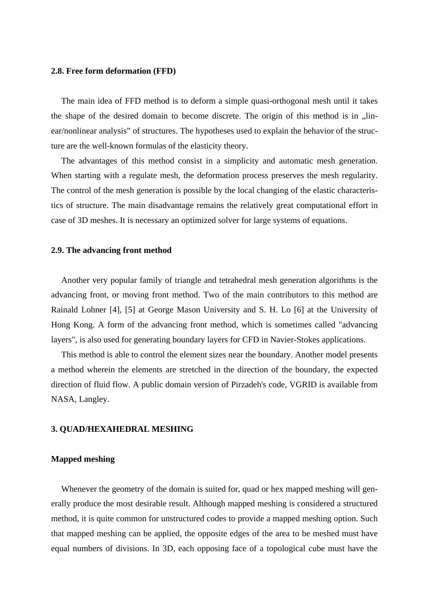## **2.8. Free form deformation (FFD)**

The main idea of FFD method is to deform a simple quasi-orthogonal mesh until it takes the shape of the desired domain to become discrete. The origin of this method is in  $\mu$ linear/nonlinear analysis" of structures. The hypotheses used to explain the behavior of the structure are the well-known formulas of the elasticity theory.

The advantages of this method consist in a simplicity and automatic mesh generation. When starting with a regulate mesh, the deformation process preserves the mesh regularity. The control of the mesh generation is possible by the local changing of the elastic characteristics of structure. The main disadvantage remains the relatively great computational effort in case of 3D meshes. It is necessary an optimized solver for large systems of equations.

### **2.9. The advancing front method**

Another very popular family of triangle and tetrahedral mesh generation algorithms is the advancing front, or moving front method. Two of the main contributors to this method are Rainald Lohner [4], [5] at George Mason University and S. H. Lo [6] at the University of Hong Kong. A form of the advancing front method, which is sometimes called "advancing layers", is also used for generating boundary layers for CFD in Navier-Stokes applications.

This method is able to control the element sizes near the boundary. Another model presents a method wherein the elements are stretched in the direction of the boundary, the expected direction of fluid flow. A public domain version of Pirzadeh's code, VGRID is available from NASA, Langley.

## **3. QUAD/HEXAHEDRAL MESHING**

### **Mapped meshing**

Whenever the geometry of the domain is suited for, quad or hex mapped meshing will generally produce the most desirable result. Although mapped meshing is considered a structured method, it is quite common for unstructured codes to provide a mapped meshing option. Such that mapped meshing can be applied, the opposite edges of the area to be meshed must have equal numbers of divisions. In 3D, each opposing face of a topological cube must have the